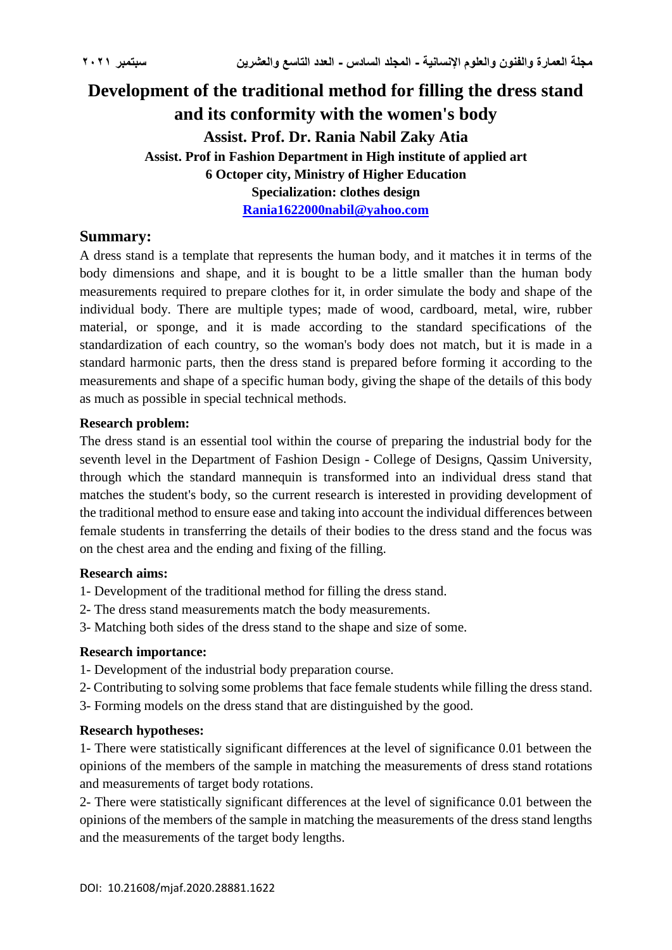# **Development of the traditional method for filling the dress stand and its conformity with the women's body Assist. Prof. Dr. Rania Nabil Zaky Atia Assist. Prof in Fashion Department in High institute of applied art 6 Octoper city, Ministry of Higher Education Specialization: clothes design [Rania1622000nabil@yahoo.com](mailto:Rania1622000nabil@yahoo.com)**

## **Summary:**

A dress stand is a template that represents the human body, and it matches it in terms of the body dimensions and shape, and it is bought to be a little smaller than the human body measurements required to prepare clothes for it, in order simulate the body and shape of the individual body. There are multiple types; made of wood, cardboard, metal, wire, rubber material, or sponge, and it is made according to the standard specifications of the standardization of each country, so the woman's body does not match, but it is made in a standard harmonic parts, then the dress stand is prepared before forming it according to the measurements and shape of a specific human body, giving the shape of the details of this body as much as possible in special technical methods.

## **Research problem:**

The dress stand is an essential tool within the course of preparing the industrial body for the seventh level in the Department of Fashion Design - College of Designs, Qassim University, through which the standard mannequin is transformed into an individual dress stand that matches the student's body, so the current research is interested in providing development of the traditional method to ensure ease and taking into account the individual differences between female students in transferring the details of their bodies to the dress stand and the focus was on the chest area and the ending and fixing of the filling.

## **Research aims:**

- 1- Development of the traditional method for filling the dress stand.
- 2- The dress stand measurements match the body measurements.
- 3- Matching both sides of the dress stand to the shape and size of some.

## **Research importance:**

- 1- Development of the industrial body preparation course.
- 2- Contributing to solving some problems that face female students while filling the dress stand.
- 3- Forming models on the dress stand that are distinguished by the good.

## **Research hypotheses:**

1- There were statistically significant differences at the level of significance 0.01 between the opinions of the members of the sample in matching the measurements of dress stand rotations and measurements of target body rotations.

2- There were statistically significant differences at the level of significance 0.01 between the opinions of the members of the sample in matching the measurements of the dress stand lengths and the measurements of the target body lengths.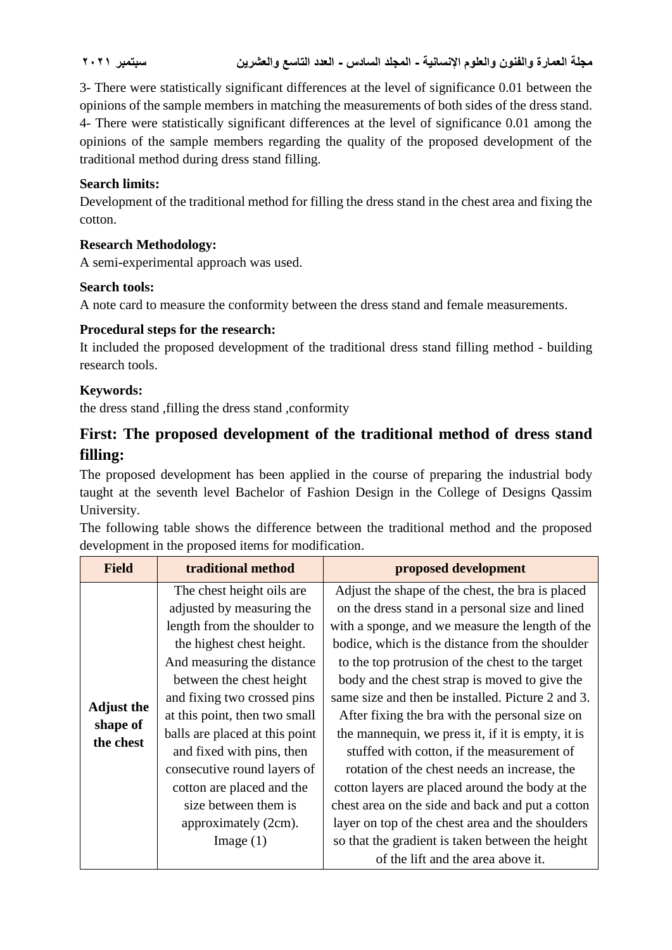3- There were statistically significant differences at the level of significance 0.01 between the opinions of the sample members in matching the measurements of both sides of the dress stand. 4- There were statistically significant differences at the level of significance 0.01 among the opinions of the sample members regarding the quality of the proposed development of the traditional method during dress stand filling.

## **Search limits:**

Development of the traditional method for filling the dress stand in the chest area and fixing the cotton.

## **Research Methodology:**

A semi-experimental approach was used.

## **Search tools:**

A note card to measure the conformity between the dress stand and female measurements.

## **Procedural steps for the research:**

It included the proposed development of the traditional dress stand filling method - building research tools.

## **Keywords:**

the dress stand ,filling the dress stand ,conformity

# **First: The proposed development of the traditional method of dress stand filling:**

The proposed development has been applied in the course of preparing the industrial body taught at the seventh level Bachelor of Fashion Design in the College of Designs Qassim University.

The following table shows the difference between the traditional method and the proposed development in the proposed items for modification.

| <b>Field</b>                               | traditional method                                                                                                                                                                                                                                                                                                                                                                                                      | proposed development                                                                                                                                                                                                                                                                                                                                                                                                                                                                                                                                                                                                                                                                                                                |
|--------------------------------------------|-------------------------------------------------------------------------------------------------------------------------------------------------------------------------------------------------------------------------------------------------------------------------------------------------------------------------------------------------------------------------------------------------------------------------|-------------------------------------------------------------------------------------------------------------------------------------------------------------------------------------------------------------------------------------------------------------------------------------------------------------------------------------------------------------------------------------------------------------------------------------------------------------------------------------------------------------------------------------------------------------------------------------------------------------------------------------------------------------------------------------------------------------------------------------|
| <b>Adjust the</b><br>shape of<br>the chest | The chest height oils are<br>adjusted by measuring the<br>length from the shoulder to<br>the highest chest height.<br>And measuring the distance<br>between the chest height<br>and fixing two crossed pins<br>at this point, then two small<br>balls are placed at this point<br>and fixed with pins, then<br>consecutive round layers of<br>cotton are placed and the<br>size between them is<br>approximately (2cm). | Adjust the shape of the chest, the bra is placed<br>on the dress stand in a personal size and lined<br>with a sponge, and we measure the length of the<br>bodice, which is the distance from the shoulder<br>to the top protrusion of the chest to the target<br>body and the chest strap is moved to give the<br>same size and then be installed. Picture 2 and 3.<br>After fixing the bra with the personal size on<br>the mannequin, we press it, if it is empty, it is<br>stuffed with cotton, if the measurement of<br>rotation of the chest needs an increase, the<br>cotton layers are placed around the body at the<br>chest area on the side and back and put a cotton<br>layer on top of the chest area and the shoulders |
|                                            | Image $(1)$                                                                                                                                                                                                                                                                                                                                                                                                             | so that the gradient is taken between the height<br>of the lift and the area above it.                                                                                                                                                                                                                                                                                                                                                                                                                                                                                                                                                                                                                                              |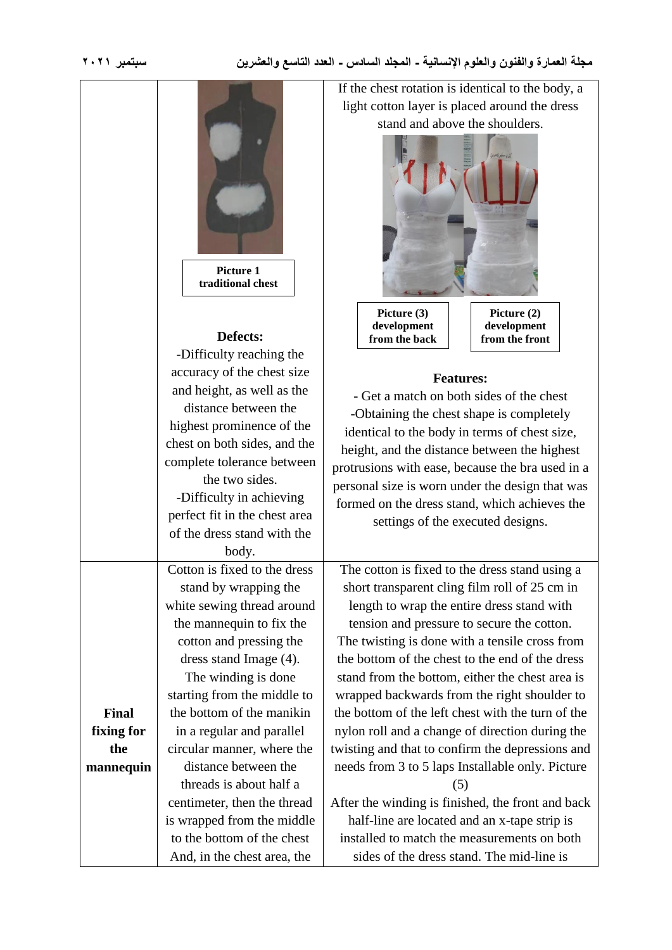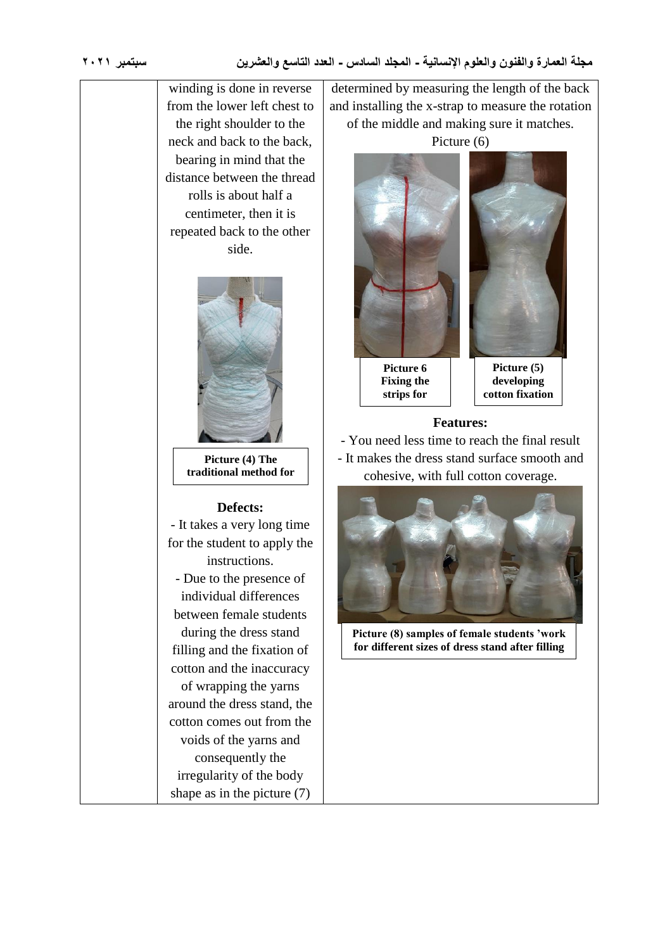winding is done in reverse from the lower left chest to the right shoulder to the neck and back to the back, bearing in mind that the distance between the thread rolls is about half a centimeter, then it is repeated back to the other side.



**Picture (4) The traditional method for fixing cotton**

## **Defects:**

- It takes a very long time for the student to apply the instructions. - Due to the presence of individual differences between female students during the dress stand filling and the fixation of cotton and the inaccuracy of wrapping the yarns around the dress stand, the cotton comes out from the voids of the yarns and consequently the irregularity of the body shape as in the picture (7)

determined by measuring the length of the back and installing the x-strap to measure the rotation of the middle and making sure it matches.



**matching**



**developing cotton fixation**

### **Features:**

- You need less time to reach the final result - It makes the dress stand surface smooth and cohesive, with full cotton coverage.



**Picture (8) samples of female students 'work for different sizes of dress stand after filling**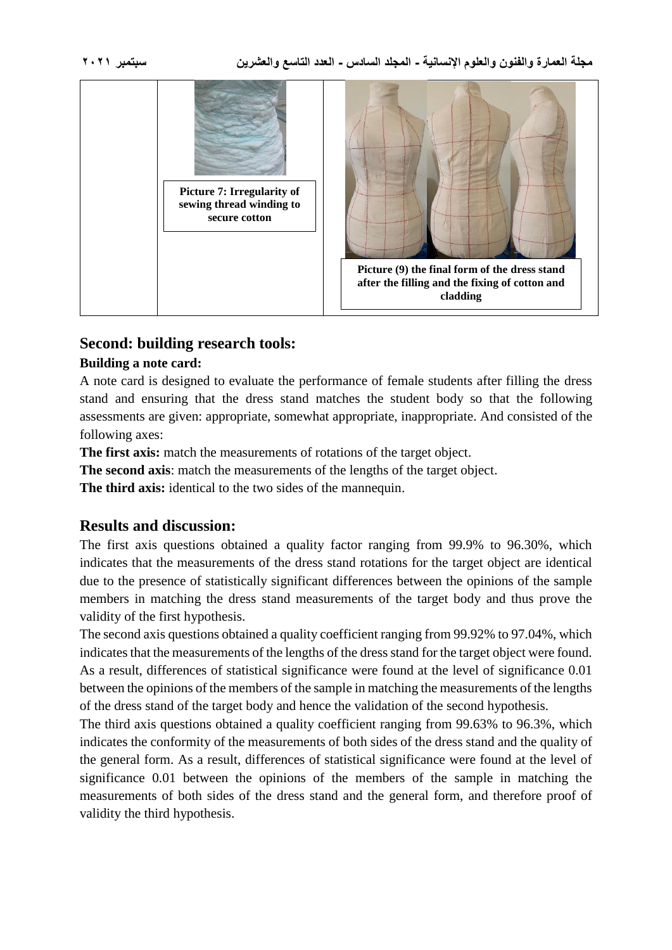

# **Second: building research tools:**

## **Building a note card:**

A note card is designed to evaluate the performance of female students after filling the dress stand and ensuring that the dress stand matches the student body so that the following assessments are given: appropriate, somewhat appropriate, inappropriate. And consisted of the following axes:

**The first axis:** match the measurements of rotations of the target object.

**The second axis**: match the measurements of the lengths of the target object.

**The third axis:** identical to the two sides of the mannequin.

## **Results and discussion:**

The first axis questions obtained a quality factor ranging from 99.9% to 96.30%, which indicates that the measurements of the dress stand rotations for the target object are identical due to the presence of statistically significant differences between the opinions of the sample members in matching the dress stand measurements of the target body and thus prove the validity of the first hypothesis.

The second axis questions obtained a quality coefficient ranging from 99.92% to 97.04%, which indicates that the measurements of the lengths of the dress stand for the target object were found. As a result, differences of statistical significance were found at the level of significance 0.01 between the opinions of the members of the sample in matching the measurements of the lengths of the dress stand of the target body and hence the validation of the second hypothesis.

The third axis questions obtained a quality coefficient ranging from 99.63% to 96.3%, which indicates the conformity of the measurements of both sides of the dress stand and the quality of the general form. As a result, differences of statistical significance were found at the level of significance 0.01 between the opinions of the members of the sample in matching the measurements of both sides of the dress stand and the general form, and therefore proof of validity the third hypothesis.